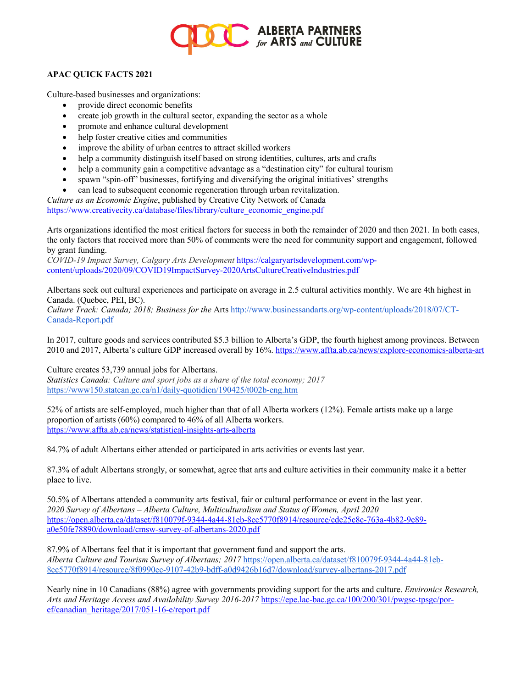

## **APAC QUICK FACTS 2021**

Culture-based businesses and organizations:

- provide direct economic benefits
- create job growth in the cultural sector, expanding the sector as a whole
- promote and enhance cultural development
- help foster creative cities and communities
- improve the ability of urban centres to attract skilled workers
- help a community distinguish itself based on strong identities, cultures, arts and crafts
- help a community gain a competitive advantage as a "destination city" for cultural tourism
- spawn "spin-off" businesses, fortifying and diversifying the original initiatives' strengths
- can lead to subsequent economic regeneration through urban revitalization.

*Culture as an Economic Engine*, published by Creative City Network of Canada https://www.creativecity.ca/database/files/library/culture\_economic\_engine.pdf

Arts organizations identified the most critical factors for success in both the remainder of 2020 and then 2021. In both cases, the only factors that received more than 50% of comments were the need for community support and engagement, followed by grant funding.

*COVID-19 Impact Survey, Calgary Arts Development* https://calgaryartsdevelopment.com/wpcontent/uploads/2020/09/COVID19ImpactSurvey-2020ArtsCultureCreativeIndustries.pdf

Albertans seek out cultural experiences and participate on average in 2.5 cultural activities monthly. We are 4th highest in Canada. (Quebec, PEI, BC).

*Culture Track: Canada; 2018; Business for the* Arts http://www.businessandarts.org/wp-content/uploads/2018/07/CT-Canada-Report.pdf

In 2017, culture goods and services contributed \$5.3 billion to Alberta's GDP, the fourth highest among provinces. Between 2010 and 2017, Alberta's culture GDP increased overall by 16%. https://www.affta.ab.ca/news/explore-economics-alberta-art

Culture creates 53,739 annual jobs for Albertans.

*Statistics Canada: Culture and sport jobs as a share of the total economy; 2017* https://www150.statcan.gc.ca/n1/daily-quotidien/190425/t002b-eng.htm

52% of artists are self-employed, much higher than that of all Alberta workers (12%). Female artists make up a large proportion of artists (60%) compared to 46% of all Alberta workers. https://www.affta.ab.ca/news/statistical-insights-arts-alberta

84.7% of adult Albertans either attended or participated in arts activities or events last year.

87.3% of adult Albertans strongly, or somewhat, agree that arts and culture activities in their community make it a better place to live.

50.5% of Albertans attended a community arts festival, fair or cultural performance or event in the last year. *2020 Survey of Albertans – Alberta Culture, Multiculturalism and Status of Women, April 2020*  https://open.alberta.ca/dataset/f810079f-9344-4a44-81eb-8cc5770f8914/resource/cde25c8c-763a-4b82-9e89 a0e50fe78890/download/cmsw-survey-of-albertans-2020.pdf

87.9% of Albertans feel that it is important that government fund and support the arts. *Alberta Culture and Tourism Survey of Albertans; 2017* https://open.alberta.ca/dataset/f810079f-9344-4a44-81eb-8cc5770f8914/resource/8f0990ec-9107-42b9-bdff-a0d9426b16d7/download/survey-albertans-2017.pdf

Nearly nine in 10 Canadians (88%) agree with governments providing support for the arts and culture. *Environics Research, Arts and Heritage Access and Availability Survey 2016-2017* https://epe.lac-bac.gc.ca/100/200/301/pwgsc-tpsgc/poref/canadian\_heritage/2017/051-16-e/report.pdf